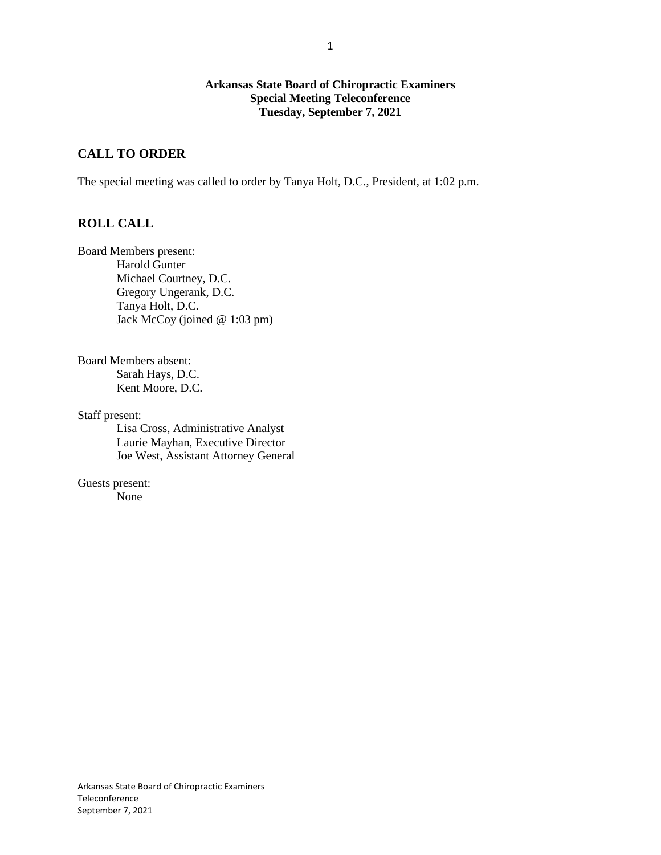### **Arkansas State Board of Chiropractic Examiners Special Meeting Teleconference Tuesday, September 7, 2021**

# **CALL TO ORDER**

The special meeting was called to order by Tanya Holt, D.C., President, at 1:02 p.m.

# **ROLL CALL**

Board Members present: Harold Gunter Michael Courtney, D.C. Gregory Ungerank, D.C. Tanya Holt, D.C. Jack McCoy (joined @ 1:03 pm)

Board Members absent: Sarah Hays, D.C. Kent Moore, D.C.

Staff present:

Lisa Cross, Administrative Analyst Laurie Mayhan, Executive Director Joe West, Assistant Attorney General

Guests present: None